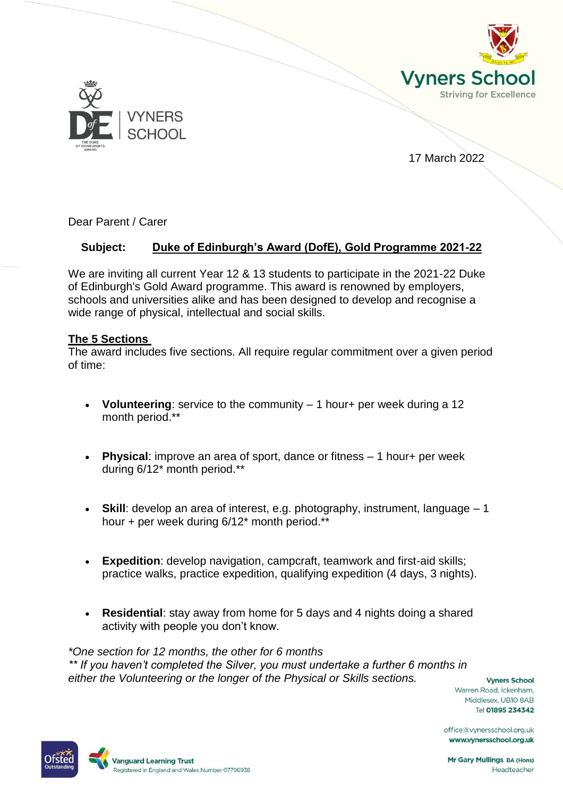



17 March 2022

Dear Parent / Carer

# **Subject: Duke of Edinburgh's Award (DofE), Gold Programme 2021-22**

We are inviting all current Year 12 & 13 students to participate in the 2021-22 Duke of Edinburgh's Gold Award programme. This award is renowned by employers, schools and universities alike and has been designed to develop and recognise a wide range of physical, intellectual and social skills.

## **The 5 Sections**

The award includes five sections. All require regular commitment over a given period of time:

- **Volunteering**: service to the community 1 hour+ per week during a 12 month period.\*\*
- **Physical**: improve an area of sport, dance or fitness 1 hour+ per week during 6/12\* month period.\*\*
- **Skill**: develop an area of interest, e.g. photography, instrument, language 1 hour + per week during 6/12\* month period.\*\*
- **Expedition**: develop navigation, campcraft, teamwork and first-aid skills; practice walks, practice expedition, qualifying expedition (4 days, 3 nights).
- **Residential**: stay away from home for 5 days and 4 nights doing a shared activity with people you don't know.

*\*One section for 12 months, the other for 6 months \*\* If you haven't completed the Silver, you must undertake a further 6 months in either the Volunteering or the longer of the Physical or Skills sections.*

**Vyners School** Warren Road, Ickenham, Middlesex, UB10 8AB Tel 01895 234342

office@vynersschool.org.uk www.vynersschool.org.uk



Mr Gary Mullings BA (Hons) Headteacher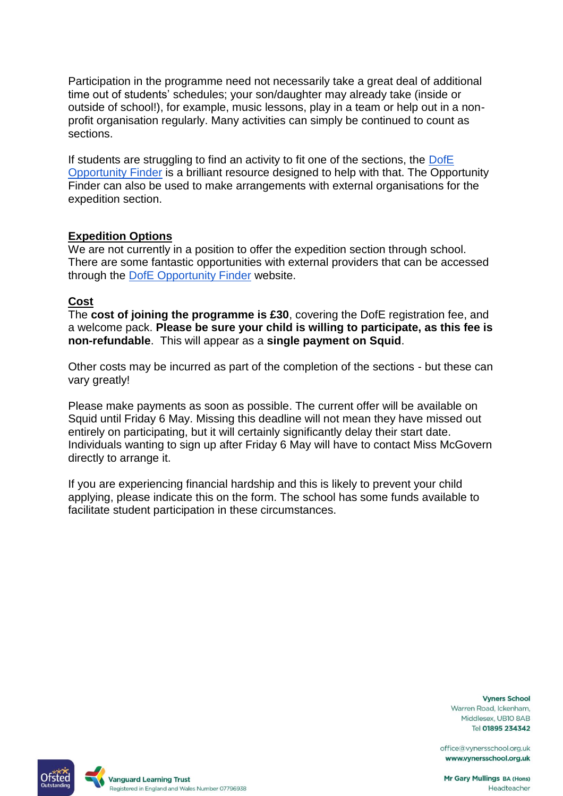Participation in the programme need not necessarily take a great deal of additional time out of students' schedules; your son/daughter may already take (inside or outside of school!), for example, music lessons, play in a team or help out in a nonprofit organisation regularly. Many activities can simply be continued to count as sections.

If students are struggling to find an activity to fit one of the sections, the DofE [Opportunity Finder](https://www.dofe.org/opportunity-finder/) is a brilliant resource designed to help with that. The Opportunity Finder can also be used to make arrangements with external organisations for the expedition section.

## **Expedition Options**

We are not currently in a position to offer the expedition section through school. There are some fantastic opportunities with external providers that can be accessed through the [DofE Opportunity Finder](https://www.dofe.org/opportunity-finder/opportunity-for-dofe-participant/?paged=1) website.

#### **Cost**

The **cost of joining the programme is £30**, covering the DofE registration fee, and a welcome pack. **Please be sure your child is willing to participate, as this fee is non-refundable**. This will appear as a **single payment on Squid**.

Other costs may be incurred as part of the completion of the sections - but these can vary greatly!

Please make payments as soon as possible. The current offer will be available on Squid until Friday 6 May. Missing this deadline will not mean they have missed out entirely on participating, but it will certainly significantly delay their start date. Individuals wanting to sign up after Friday 6 May will have to contact Miss McGovern directly to arrange it.

If you are experiencing financial hardship and this is likely to prevent your child applying, please indicate this on the form. The school has some funds available to facilitate student participation in these circumstances.

> **Vyners School** Warren Road, Ickenham, Middlesex, UB10 8AB Tel 01895 234342

office@vynersschool.org.uk www.vynersschool.org.uk

Mr Gary Mullings BA (Hons) Headteacher